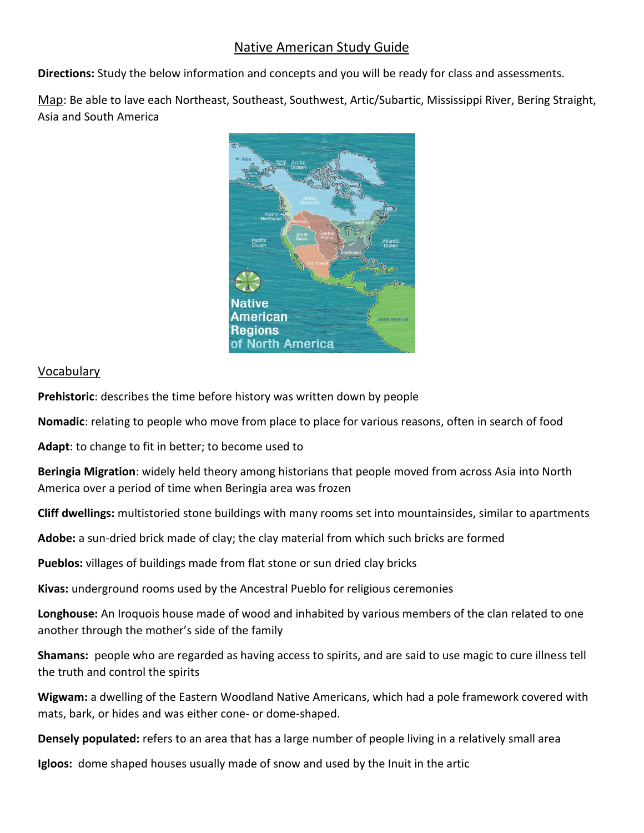## Native American Study Guide

**Directions:** Study the below information and concepts and you will be ready for class and assessments.

Map: Be able to lave each Northeast, Southeast, Southwest, Artic/Subartic, Mississippi River, Bering Straight, Asia and South America



## Vocabulary

**Prehistoric**: describes the time before history was written down by people

**Nomadic**: relating to people who move from place to place for various reasons, often in search of food

**Adapt**: to change to fit in better; to become used to

**Beringia Migration**: widely held theory among historians that people moved from across Asia into North America over a period of time when Beringia area was frozen

**Cliff dwellings:** multistoried stone buildings with many rooms set into mountainsides, similar to apartments

**Adobe:** a sun-dried brick made of clay; the clay material from which such bricks are formed

**Pueblos:** villages of buildings made from flat stone or sun dried clay bricks

**Kivas:** underground rooms used by the Ancestral Pueblo for religious ceremonies

**Longhouse:** An Iroquois house made of wood and inhabited by various members of the clan related to one another through the mother's side of the family

**Shamans:** people who are regarded as having access to spirits, and are said to use magic to cure illness tell the truth and control the spirits

**Wigwam:** a dwelling of the Eastern Woodland Native Americans, which had a pole framework covered with mats, bark, or hides and was either cone- or dome-shaped.

**Densely populated:** refers to an area that has a large number of people living in a relatively small area

**Igloos:** dome shaped houses usually made of snow and used by the Inuit in the artic